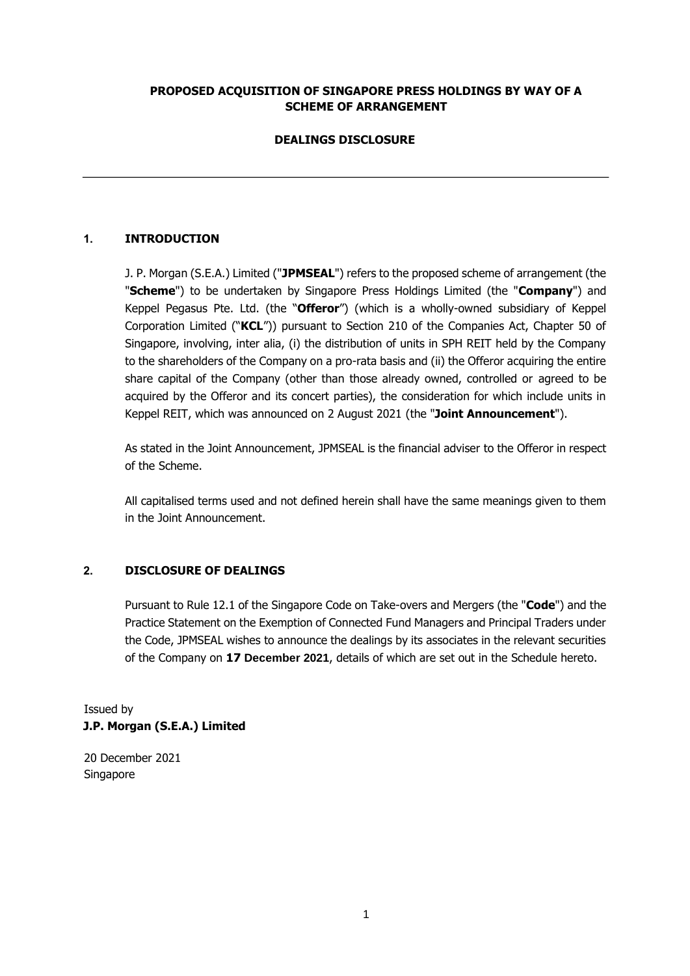### **PROPOSED ACQUISITION OF SINGAPORE PRESS HOLDINGS BY WAY OF A SCHEME OF ARRANGEMENT**

# **DEALINGS DISCLOSURE**

# **1. INTRODUCTION**

J. P. Morgan (S.E.A.) Limited ("**JPMSEAL**") refers to the proposed scheme of arrangement (the "**Scheme**") to be undertaken by Singapore Press Holdings Limited (the "**Company**") and Keppel Pegasus Pte. Ltd. (the "**Offeror**") (which is a wholly-owned subsidiary of Keppel Corporation Limited ("**KCL**")) pursuant to Section 210 of the Companies Act, Chapter 50 of Singapore, involving, inter alia, (i) the distribution of units in SPH REIT held by the Company to the shareholders of the Company on a pro-rata basis and (ii) the Offeror acquiring the entire share capital of the Company (other than those already owned, controlled or agreed to be acquired by the Offeror and its concert parties), the consideration for which include units in Keppel REIT, which was announced on 2 August 2021 (the "**Joint Announcement**").

As stated in the Joint Announcement, JPMSEAL is the financial adviser to the Offeror in respect of the Scheme.

All capitalised terms used and not defined herein shall have the same meanings given to them in the Joint Announcement.

### **2. DISCLOSURE OF DEALINGS**

Pursuant to Rule 12.1 of the Singapore Code on Take-overs and Mergers (the "**Code**") and the Practice Statement on the Exemption of Connected Fund Managers and Principal Traders under the Code, JPMSEAL wishes to announce the dealings by its associates in the relevant securities of the Company on **17 December 2021**, details of which are set out in the Schedule hereto.

Issued by **J.P. Morgan (S.E.A.) Limited** 

20 December 2021 Singapore